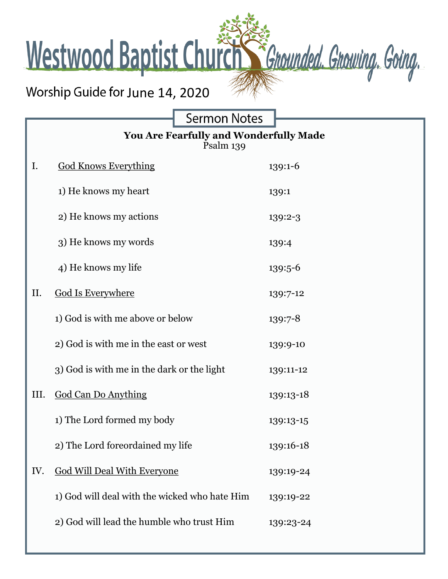Westwood Baptist Church Schounded. Growing. Going.

## Worship Guide for June 14, 2020

Г

**Sermon Notes** 

| You Are Fearfully and Wonderfully Made<br>Psalm 139 |                                               |           |
|-----------------------------------------------------|-----------------------------------------------|-----------|
| I.                                                  | <b>God Knows Everything</b>                   | 139:1-6   |
|                                                     | 1) He knows my heart                          | 139:1     |
|                                                     | 2) He knows my actions                        | 139:2-3   |
|                                                     | 3) He knows my words                          | 139:4     |
|                                                     | 4) He knows my life                           | 139:5-6   |
| II.                                                 | <b>God Is Everywhere</b>                      | 139:7-12  |
|                                                     | 1) God is with me above or below              | 139:7-8   |
|                                                     | 2) God is with me in the east or west         | 139:9-10  |
|                                                     | 3) God is with me in the dark or the light    | 139:11-12 |
| III.                                                | <b>God Can Do Anything</b>                    | 139:13-18 |
|                                                     | 1) The Lord formed my body                    | 139:13-15 |
|                                                     | 2) The Lord foreordained my life              | 139:16-18 |
| IV.                                                 | <b>God Will Deal With Everyone</b>            | 139:19-24 |
|                                                     | 1) God will deal with the wicked who hate Him | 139:19-22 |
|                                                     | 2) God will lead the humble who trust Him     | 139:23-24 |